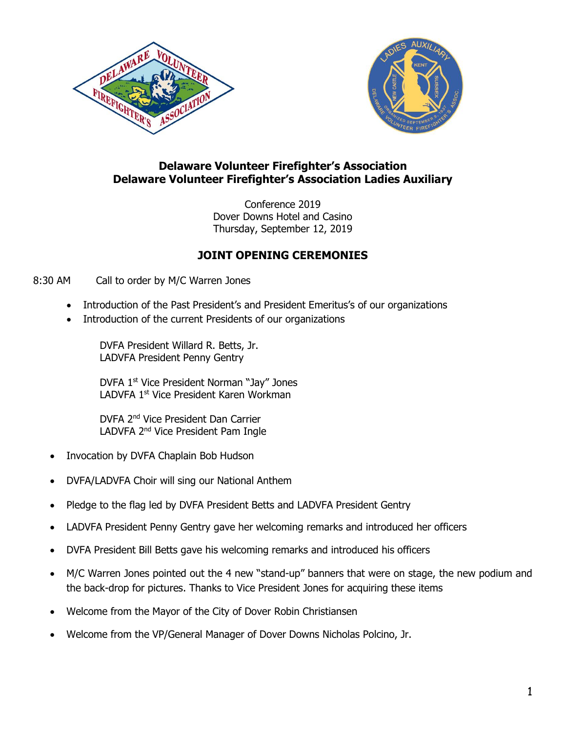



# **Delaware Volunteer Firefighter's Association Delaware Volunteer Firefighter's Association Ladies Auxiliary**

Conference 2019 Dover Downs Hotel and Casino Thursday, September 12, 2019

# **JOINT OPENING CEREMONIES**

8:30 AM Call to order by M/C Warren Jones

- Introduction of the Past President's and President Emeritus's of our organizations
- Introduction of the current Presidents of our organizations

DVFA President Willard R. Betts, Jr. LADVFA President Penny Gentry

DVFA 1<sup>st</sup> Vice President Norman "Jay" Jones LADVFA 1<sup>st</sup> Vice President Karen Workman

DVFA 2nd Vice President Dan Carrier LADVFA 2<sup>nd</sup> Vice President Pam Ingle

- Invocation by DVFA Chaplain Bob Hudson
- DVFA/LADVFA Choir will sing our National Anthem
- Pledge to the flag led by DVFA President Betts and LADVFA President Gentry
- LADVFA President Penny Gentry gave her welcoming remarks and introduced her officers
- DVFA President Bill Betts gave his welcoming remarks and introduced his officers
- M/C Warren Jones pointed out the 4 new "stand-up" banners that were on stage, the new podium and the back-drop for pictures. Thanks to Vice President Jones for acquiring these items
- Welcome from the Mayor of the City of Dover Robin Christiansen
- Welcome from the VP/General Manager of Dover Downs Nicholas Polcino, Jr.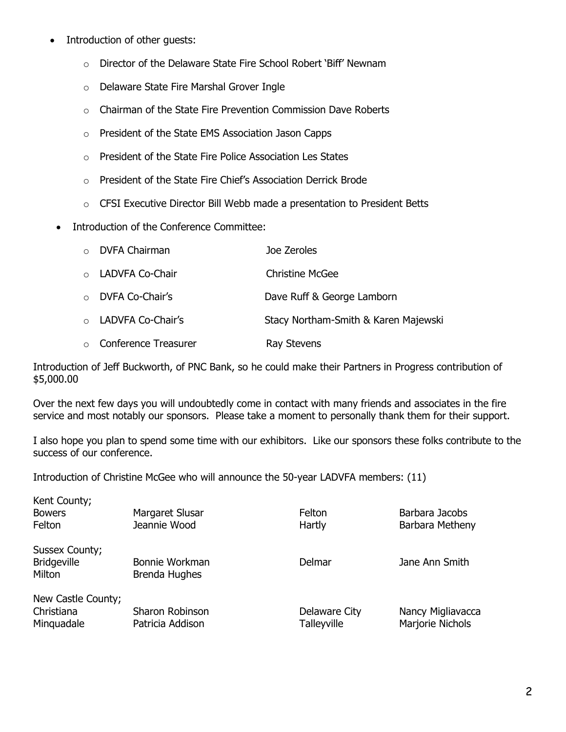- Introduction of other guests:
	- o Director of the Delaware State Fire School Robert 'Biff' Newnam
	- o Delaware State Fire Marshal Grover Ingle
	- o Chairman of the State Fire Prevention Commission Dave Roberts
	- o President of the State EMS Association Jason Capps
	- o President of the State Fire Police Association Les States
	- o President of the State Fire Chief's Association Derrick Brode
	- o CFSI Executive Director Bill Webb made a presentation to President Betts
- Introduction of the Conference Committee:

| $\circ$ DVFA Chairman        | Joe Zeroles                          |
|------------------------------|--------------------------------------|
| o LADVFA Co-Chair            | Christine McGee                      |
| o DVFA Co-Chair's            | Dave Ruff & George Lamborn           |
| o LADVFA Co-Chair's          | Stacy Northam-Smith & Karen Majewski |
| $\circ$ Conference Treasurer | Ray Stevens                          |

Introduction of Jeff Buckworth, of PNC Bank, so he could make their Partners in Progress contribution of \$5,000.00

Over the next few days you will undoubtedly come in contact with many friends and associates in the fire service and most notably our sponsors. Please take a moment to personally thank them for their support.

I also hope you plan to spend some time with our exhibitors. Like our sponsors these folks contribute to the success of our conference.

Introduction of Christine McGee who will announce the 50-year LADVFA members: (11)

| Kent County;       |                      |               |                   |
|--------------------|----------------------|---------------|-------------------|
| <b>Bowers</b>      | Margaret Slusar      | Felton        | Barbara Jacobs    |
| Felton             | Jeannie Wood         | Hartly        | Barbara Metheny   |
| Sussex County;     |                      |               |                   |
| <b>Bridgeville</b> | Bonnie Workman       | Delmar        | Jane Ann Smith    |
| Milton             | <b>Brenda Hughes</b> |               |                   |
| New Castle County; |                      |               |                   |
| Christiana         | Sharon Robinson      | Delaware City | Nancy Migliavacca |
| Minguadale         | Patricia Addison     | Talleyville   | Marjorie Nichols  |
|                    |                      |               |                   |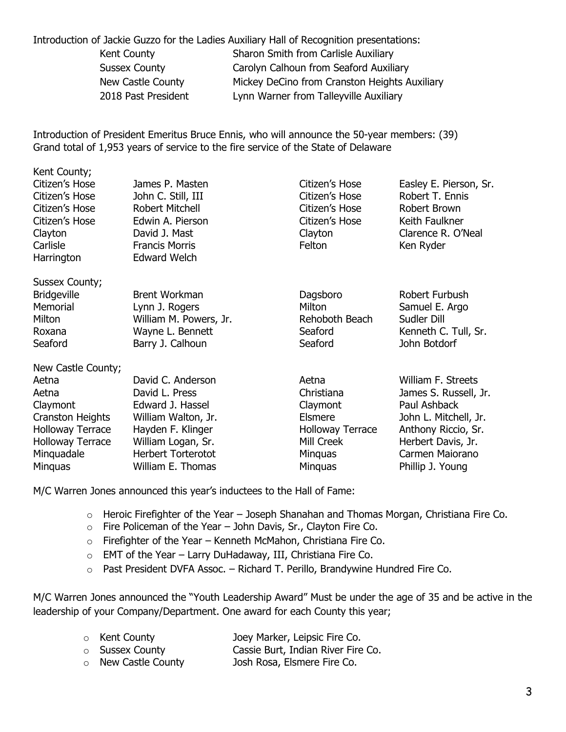Introduction of Jackie Guzzo for the Ladies Auxiliary Hall of Recognition presentations:

| Kent County          | Sharon Smith from Carlisle Auxiliary          |
|----------------------|-----------------------------------------------|
| <b>Sussex County</b> | Carolyn Calhoun from Seaford Auxiliary        |
| New Castle County    | Mickey DeCino from Cranston Heights Auxiliary |
| 2018 Past President  | Lynn Warner from Talleyville Auxiliary        |
|                      |                                               |

Introduction of President Emeritus Bruce Ennis, who will announce the 50-year members: (39) Grand total of 1,953 years of service to the fire service of the State of Delaware

| Kent County;            |                           |                         |                        |
|-------------------------|---------------------------|-------------------------|------------------------|
| Citizen's Hose          | James P. Masten           | Citizen's Hose          | Easley E. Pierson, Sr. |
| Citizen's Hose          | John C. Still, III        | Citizen's Hose          | Robert T. Ennis        |
| Citizen's Hose          | Robert Mitchell           | Citizen's Hose          | Robert Brown           |
| Citizen's Hose          | Edwin A. Pierson          | Citizen's Hose          | Keith Faulkner         |
| Clayton                 | David J. Mast             | Clayton                 | Clarence R. O'Neal     |
| Carlisle                | <b>Francis Morris</b>     | Felton                  | Ken Ryder              |
| Harrington              | <b>Edward Welch</b>       |                         |                        |
| Sussex County;          |                           |                         |                        |
| <b>Bridgeville</b>      | <b>Brent Workman</b>      | Dagsboro                | Robert Furbush         |
| Memorial                | Lynn J. Rogers            | Milton                  | Samuel E. Argo         |
| Milton                  | William M. Powers, Jr.    | Rehoboth Beach          | Sudler Dill            |
| Roxana                  | Wayne L. Bennett          | Seaford                 | Kenneth C. Tull, Sr.   |
| Seaford                 | Barry J. Calhoun          | Seaford                 | John Botdorf           |
| New Castle County;      |                           |                         |                        |
| Aetna                   | David C. Anderson         | Aetna                   | William F. Streets     |
| Aetna                   | David L. Press            | Christiana              | James S. Russell, Jr.  |
| Claymont                | Edward J. Hassel          | Claymont                | Paul Ashback           |
| <b>Cranston Heights</b> | William Walton, Jr.       | <b>Elsmere</b>          | John L. Mitchell, Jr.  |
| <b>Holloway Terrace</b> | Hayden F. Klinger         | <b>Holloway Terrace</b> | Anthony Riccio, Sr.    |
| <b>Holloway Terrace</b> | William Logan, Sr.        | Mill Creek              | Herbert Davis, Jr.     |
| Minguadale              | <b>Herbert Torterotot</b> | <b>Minguas</b>          | Carmen Maiorano        |
| <b>Minguas</b>          | William E. Thomas         | Minquas                 | Phillip J. Young       |

M/C Warren Jones announced this year's inductees to the Hall of Fame:

- o Heroic Firefighter of the Year Joseph Shanahan and Thomas Morgan, Christiana Fire Co.
- $\circ$  Fire Policeman of the Year John Davis, Sr., Clayton Fire Co.
- o Firefighter of the Year Kenneth McMahon, Christiana Fire Co.
- $\circ$  EMT of the Year Larry DuHadaway, III, Christiana Fire Co.
- o Past President DVFA Assoc. Richard T. Perillo, Brandywine Hundred Fire Co.

M/C Warren Jones announced the "Youth Leadership Award" Must be under the age of 35 and be active in the leadership of your Company/Department. One award for each County this year;

| <b>o</b> Kent County   | Joey Marker, Leipsic Fire Co.      |
|------------------------|------------------------------------|
| <b>O</b> Sussex County | Cassie Burt, Indian River Fire Co. |
| o New Castle County    | Josh Rosa, Elsmere Fire Co.        |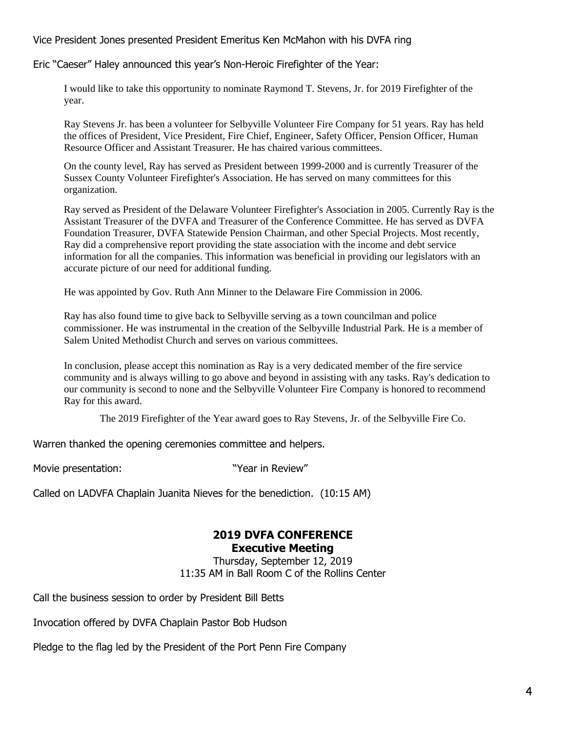Vice President Jones presented President Emeritus Ken McMahon with his DVFA ring

Eric "Caeser" Haley announced this year's Non-Heroic Firefighter of the Year:

I would like to take this opportunity to nominate Raymond T. Stevens, Jr. for 2019 Firefighter of the year.

Ray Stevens Jr. has been a volunteer for Selbyville Volunteer Fire Company for 51 years. Ray has held the offices of President, Vice President, Fire Chief, Engineer, Safety Officer, Pension Officer, Human Resource Officer and Assistant Treasurer. He has chaired various committees.

On the county level, Ray has served as President between 1999-2000 and is currently Treasurer of the Sussex County Volunteer Firefighter's Association. He has served on many committees for this organization.

Ray served as President of the Delaware Volunteer Firefighter's Association in 2005. Currently Ray is the Assistant Treasurer of the DVFA and Treasurer of the Conference Committee. He has served as DVFA Foundation Treasurer, DVFA Statewide Pension Chairman, and other Special Projects. Most recently, Ray did a comprehensive report providing the state association with the income and debt service information for all the companies. This information was beneficial in providing our legislators with an accurate picture of our need for additional funding.

He was appointed by Gov. Ruth Ann Minner to the Delaware Fire Commission in 2006.

Ray has also found time to give back to Selbyville serving as a town councilman and police commissioner. He was instrumental in the creation of the Selbyville Industrial Park. He is a member of Salem United Methodist Church and serves on various committees.

In conclusion, please accept this nomination as Ray is a very dedicated member of the fire service community and is always willing to go above and beyond in assisting with any tasks. Ray's dedication to our community is second to none and the Selbyville Volunteer Fire Company is honored to recommend Ray for this award.

The 2019 Firefighter of the Year award goes to Ray Stevens, Jr. of the Selbyville Fire Co.

Warren thanked the opening ceremonies committee and helpers.

Movie presentation: The Movie of the Movie with Mexican in Review"

Called on LADVFA Chaplain Juanita Nieves for the benediction. (10:15 AM)

# **2019 DVFA CONFERENCE**

**Executive Meeting**

Thursday, September 12, 2019 11:35 AM in Ball Room C of the Rollins Center

Call the business session to order by President Bill Betts

Invocation offered by DVFA Chaplain Pastor Bob Hudson

Pledge to the flag led by the President of the Port Penn Fire Company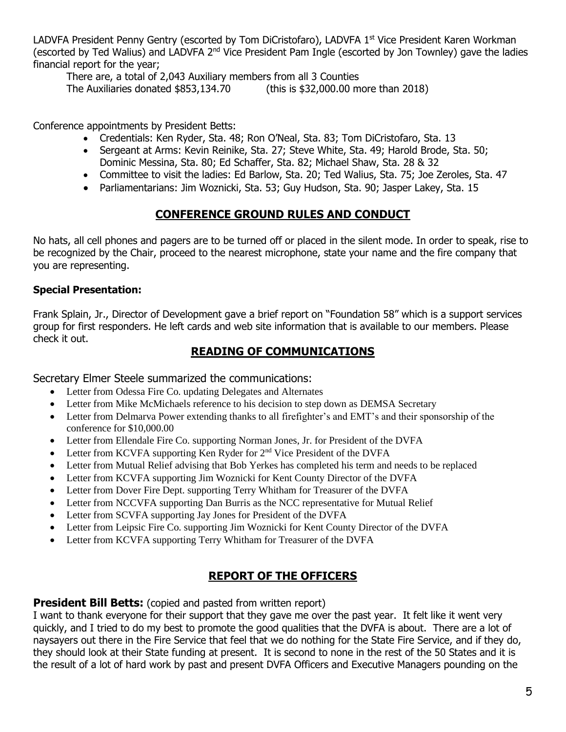LADVFA President Penny Gentry (escorted by Tom DiCristofaro), LADVFA 1<sup>st</sup> Vice President Karen Workman (escorted by Ted Walius) and LADVFA 2<sup>nd</sup> Vice President Pam Ingle (escorted by Jon Townley) gave the ladies financial report for the year;

There are, a total of 2,043 Auxiliary members from all 3 Counties

The Auxiliaries donated \$853,134.70 (this is \$32,000.00 more than 2018)

Conference appointments by President Betts:

- Credentials: Ken Ryder, Sta. 48; Ron O'Neal, Sta. 83; Tom DiCristofaro, Sta. 13
- Sergeant at Arms: Kevin Reinike, Sta. 27; Steve White, Sta. 49; Harold Brode, Sta. 50; Dominic Messina, Sta. 80; Ed Schaffer, Sta. 82; Michael Shaw, Sta. 28 & 32
- Committee to visit the ladies: Ed Barlow, Sta. 20; Ted Walius, Sta. 75; Joe Zeroles, Sta. 47
- Parliamentarians: Jim Woznicki, Sta. 53; Guy Hudson, Sta. 90; Jasper Lakey, Sta. 15

## **CONFERENCE GROUND RULES AND CONDUCT**

No hats, all cell phones and pagers are to be turned off or placed in the silent mode. In order to speak, rise to be recognized by the Chair, proceed to the nearest microphone, state your name and the fire company that you are representing.

## **Special Presentation:**

Frank Splain, Jr., Director of Development gave a brief report on "Foundation 58" which is a support services group for first responders. He left cards and web site information that is available to our members. Please check it out.

## **READING OF COMMUNICATIONS**

Secretary Elmer Steele summarized the communications:

- Letter from Odessa Fire Co. updating Delegates and Alternates
- Letter from Mike McMichaels reference to his decision to step down as DEMSA Secretary
- Letter from Delmarva Power extending thanks to all firefighter's and EMT's and their sponsorship of the conference for \$10,000.00
- Letter from Ellendale Fire Co. supporting Norman Jones, Jr. for President of the DVFA
- Letter from KCVFA supporting Ken Ryder for  $2<sup>nd</sup>$  Vice President of the DVFA
- Letter from Mutual Relief advising that Bob Yerkes has completed his term and needs to be replaced
- Letter from KCVFA supporting Jim Woznicki for Kent County Director of the DVFA
- Letter from Dover Fire Dept. supporting Terry Whitham for Treasurer of the DVFA
- Letter from NCCVFA supporting Dan Burris as the NCC representative for Mutual Relief
- Letter from SCVFA supporting Jay Jones for President of the DVFA
- Letter from Leipsic Fire Co. supporting Jim Woznicki for Kent County Director of the DVFA
- Letter from KCVFA supporting Terry Whitham for Treasurer of the DVFA

# **REPORT OF THE OFFICERS**

## **President Bill Betts:** (copied and pasted from written report)

I want to thank everyone for their support that they gave me over the past year. It felt like it went very quickly, and I tried to do my best to promote the good qualities that the DVFA is about. There are a lot of naysayers out there in the Fire Service that feel that we do nothing for the State Fire Service, and if they do, they should look at their State funding at present. It is second to none in the rest of the 50 States and it is the result of a lot of hard work by past and present DVFA Officers and Executive Managers pounding on the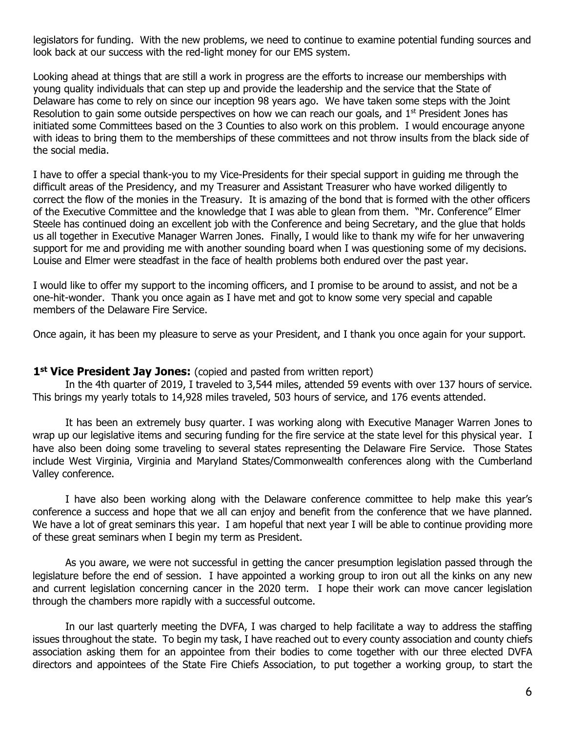legislators for funding. With the new problems, we need to continue to examine potential funding sources and look back at our success with the red-light money for our EMS system.

Looking ahead at things that are still a work in progress are the efforts to increase our memberships with young quality individuals that can step up and provide the leadership and the service that the State of Delaware has come to rely on since our inception 98 years ago. We have taken some steps with the Joint Resolution to gain some outside perspectives on how we can reach our goals, and  $1<sup>st</sup>$  President Jones has initiated some Committees based on the 3 Counties to also work on this problem. I would encourage anyone with ideas to bring them to the memberships of these committees and not throw insults from the black side of the social media.

I have to offer a special thank-you to my Vice-Presidents for their special support in guiding me through the difficult areas of the Presidency, and my Treasurer and Assistant Treasurer who have worked diligently to correct the flow of the monies in the Treasury. It is amazing of the bond that is formed with the other officers of the Executive Committee and the knowledge that I was able to glean from them. "Mr. Conference" Elmer Steele has continued doing an excellent job with the Conference and being Secretary, and the glue that holds us all together in Executive Manager Warren Jones. Finally, I would like to thank my wife for her unwavering support for me and providing me with another sounding board when I was questioning some of my decisions. Louise and Elmer were steadfast in the face of health problems both endured over the past year.

I would like to offer my support to the incoming officers, and I promise to be around to assist, and not be a one-hit-wonder. Thank you once again as I have met and got to know some very special and capable members of the Delaware Fire Service.

Once again, it has been my pleasure to serve as your President, and I thank you once again for your support.

#### 1<sup>st</sup> Vice President Jay Jones: (copied and pasted from written report)

In the 4th quarter of 2019, I traveled to 3,544 miles, attended 59 events with over 137 hours of service. This brings my yearly totals to 14,928 miles traveled, 503 hours of service, and 176 events attended.

It has been an extremely busy quarter. I was working along with Executive Manager Warren Jones to wrap up our legislative items and securing funding for the fire service at the state level for this physical year. I have also been doing some traveling to several states representing the Delaware Fire Service. Those States include West Virginia, Virginia and Maryland States/Commonwealth conferences along with the Cumberland Valley conference.

I have also been working along with the Delaware conference committee to help make this year's conference a success and hope that we all can enjoy and benefit from the conference that we have planned. We have a lot of great seminars this year. I am hopeful that next year I will be able to continue providing more of these great seminars when I begin my term as President.

As you aware, we were not successful in getting the cancer presumption legislation passed through the legislature before the end of session. I have appointed a working group to iron out all the kinks on any new and current legislation concerning cancer in the 2020 term. I hope their work can move cancer legislation through the chambers more rapidly with a successful outcome.

In our last quarterly meeting the DVFA, I was charged to help facilitate a way to address the staffing issues throughout the state. To begin my task, I have reached out to every county association and county chiefs association asking them for an appointee from their bodies to come together with our three elected DVFA directors and appointees of the State Fire Chiefs Association, to put together a working group, to start the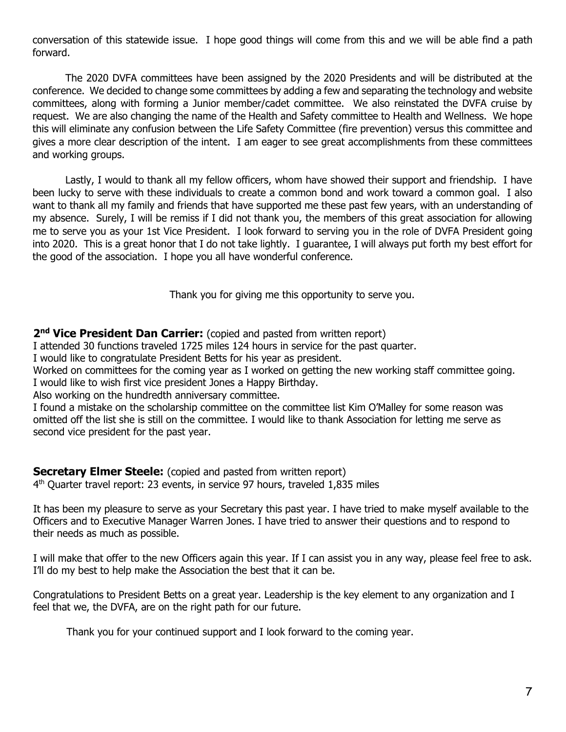conversation of this statewide issue. I hope good things will come from this and we will be able find a path forward.

The 2020 DVFA committees have been assigned by the 2020 Presidents and will be distributed at the conference. We decided to change some committees by adding a few and separating the technology and website committees, along with forming a Junior member/cadet committee. We also reinstated the DVFA cruise by request. We are also changing the name of the Health and Safety committee to Health and Wellness. We hope this will eliminate any confusion between the Life Safety Committee (fire prevention) versus this committee and gives a more clear description of the intent. I am eager to see great accomplishments from these committees and working groups.

Lastly, I would to thank all my fellow officers, whom have showed their support and friendship. I have been lucky to serve with these individuals to create a common bond and work toward a common goal. I also want to thank all my family and friends that have supported me these past few years, with an understanding of my absence. Surely, I will be remiss if I did not thank you, the members of this great association for allowing me to serve you as your 1st Vice President. I look forward to serving you in the role of DVFA President going into 2020. This is a great honor that I do not take lightly. I guarantee, I will always put forth my best effort for the good of the association. I hope you all have wonderful conference.

Thank you for giving me this opportunity to serve you.

2<sup>nd</sup> Vice President Dan Carrier: (copied and pasted from written report)

I attended 30 functions traveled 1725 miles 124 hours in service for the past quarter.

I would like to congratulate President Betts for his year as president.

Worked on committees for the coming year as I worked on getting the new working staff committee going. I would like to wish first vice president Jones a Happy Birthday.

Also working on the hundredth anniversary committee.

I found a mistake on the scholarship committee on the committee list Kim O'Malley for some reason was omitted off the list she is still on the committee. I would like to thank Association for letting me serve as second vice president for the past year.

## **Secretary Elmer Steele:** (copied and pasted from written report)

4 th Quarter travel report: 23 events, in service 97 hours, traveled 1,835 miles

It has been my pleasure to serve as your Secretary this past year. I have tried to make myself available to the Officers and to Executive Manager Warren Jones. I have tried to answer their questions and to respond to their needs as much as possible.

I will make that offer to the new Officers again this year. If I can assist you in any way, please feel free to ask. I'll do my best to help make the Association the best that it can be.

Congratulations to President Betts on a great year. Leadership is the key element to any organization and I feel that we, the DVFA, are on the right path for our future.

Thank you for your continued support and I look forward to the coming year.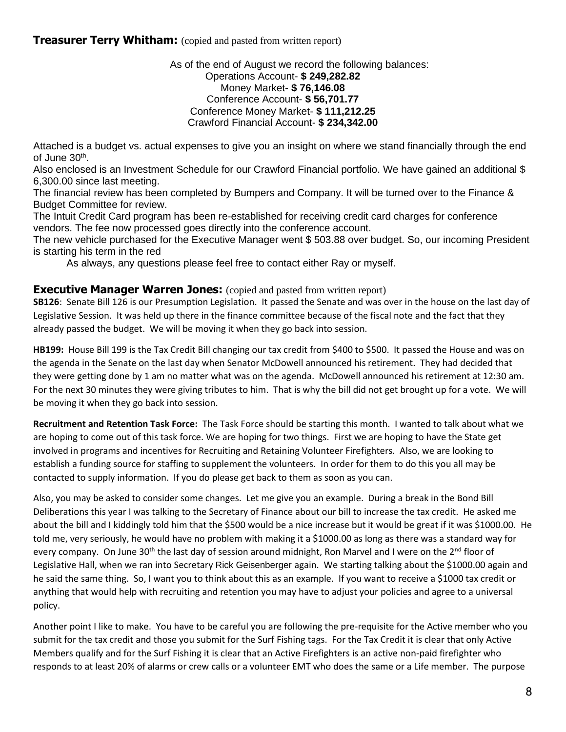**Treasurer Terry Whitham:** (copied and pasted from written report)

As of the end of August we record the following balances: Operations Account- **\$ 249,282.82** Money Market- **\$ 76,146.08** Conference Account- **\$ 56,701.77** Conference Money Market- **\$ 111,212.25** Crawford Financial Account- **\$ 234,342.00**

Attached is a budget vs. actual expenses to give you an insight on where we stand financially through the end of June 30<sup>th</sup>.

Also enclosed is an Investment Schedule for our Crawford Financial portfolio. We have gained an additional \$ 6,300.00 since last meeting.

The financial review has been completed by Bumpers and Company. It will be turned over to the Finance & Budget Committee for review.

The Intuit Credit Card program has been re-established for receiving credit card charges for conference vendors. The fee now processed goes directly into the conference account.

The new vehicle purchased for the Executive Manager went \$ 503.88 over budget. So, our incoming President is starting his term in the red

As always, any questions please feel free to contact either Ray or myself.

### **Executive Manager Warren Jones:** (copied and pasted from written report)

**SB126**: Senate Bill 126 is our Presumption Legislation. It passed the Senate and was over in the house on the last day of Legislative Session. It was held up there in the finance committee because of the fiscal note and the fact that they already passed the budget. We will be moving it when they go back into session.

**HB199:** House Bill 199 is the Tax Credit Bill changing our tax credit from \$400 to \$500. It passed the House and was on the agenda in the Senate on the last day when Senator McDowell announced his retirement. They had decided that they were getting done by 1 am no matter what was on the agenda. McDowell announced his retirement at 12:30 am. For the next 30 minutes they were giving tributes to him. That is why the bill did not get brought up for a vote. We will be moving it when they go back into session.

**Recruitment and Retention Task Force:** The Task Force should be starting this month. I wanted to talk about what we are hoping to come out of this task force. We are hoping for two things. First we are hoping to have the State get involved in programs and incentives for Recruiting and Retaining Volunteer Firefighters. Also, we are looking to establish a funding source for staffing to supplement the volunteers. In order for them to do this you all may be contacted to supply information. If you do please get back to them as soon as you can.

Also, you may be asked to consider some changes. Let me give you an example. During a break in the Bond Bill Deliberations this year I was talking to the Secretary of Finance about our bill to increase the tax credit. He asked me about the bill and I kiddingly told him that the \$500 would be a nice increase but it would be great if it was \$1000.00. He told me, very seriously, he would have no problem with making it a \$1000.00 as long as there was a standard way for every company. On June 30<sup>th</sup> the last day of session around midnight, Ron Marvel and I were on the 2<sup>nd</sup> floor of Legislative Hall, when we ran into Secretary Rick Geisenberger again. We starting talking about the \$1000.00 again and he said the same thing. So, I want you to think about this as an example. If you want to receive a \$1000 tax credit or anything that would help with recruiting and retention you may have to adjust your policies and agree to a universal policy.

Another point I like to make. You have to be careful you are following the pre-requisite for the Active member who you submit for the tax credit and those you submit for the Surf Fishing tags. For the Tax Credit it is clear that only Active Members qualify and for the Surf Fishing it is clear that an Active Firefighters is an active non-paid firefighter who responds to at least 20% of alarms or crew calls or a volunteer EMT who does the same or a Life member. The purpose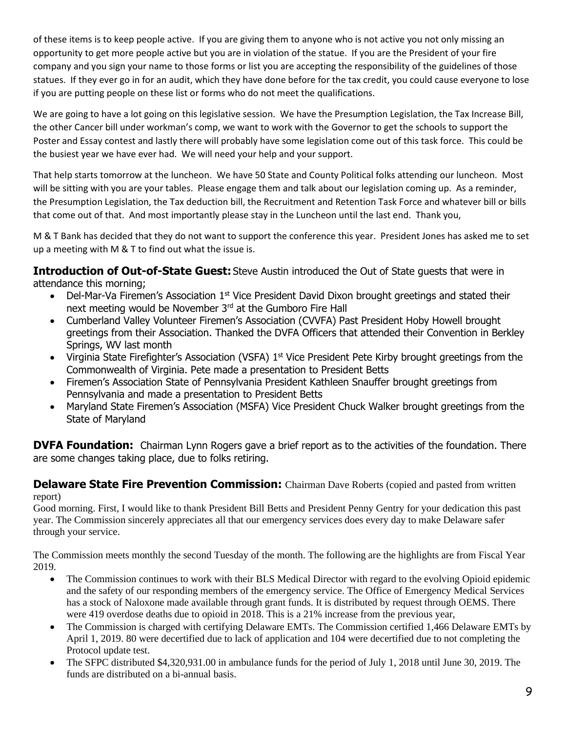of these items is to keep people active. If you are giving them to anyone who is not active you not only missing an opportunity to get more people active but you are in violation of the statue. If you are the President of your fire company and you sign your name to those forms or list you are accepting the responsibility of the guidelines of those statues. If they ever go in for an audit, which they have done before for the tax credit, you could cause everyone to lose if you are putting people on these list or forms who do not meet the qualifications.

We are going to have a lot going on this legislative session. We have the Presumption Legislation, the Tax Increase Bill, the other Cancer bill under workman's comp, we want to work with the Governor to get the schools to support the Poster and Essay contest and lastly there will probably have some legislation come out of this task force. This could be the busiest year we have ever had. We will need your help and your support.

That help starts tomorrow at the luncheon. We have 50 State and County Political folks attending our luncheon. Most will be sitting with you are your tables. Please engage them and talk about our legislation coming up. As a reminder, the Presumption Legislation, the Tax deduction bill, the Recruitment and Retention Task Force and whatever bill or bills that come out of that. And most importantly please stay in the Luncheon until the last end. Thank you,

M & T Bank has decided that they do not want to support the conference this year. President Jones has asked me to set up a meeting with M & T to find out what the issue is.

**Introduction of Out-of-State Guest:** Steve Austin introduced the Out of State guests that were in attendance this morning;

- Del-Mar-Va Firemen's Association 1<sup>st</sup> Vice President David Dixon brought greetings and stated their next meeting would be November 3<sup>rd</sup> at the Gumboro Fire Hall
- Cumberland Valley Volunteer Firemen's Association (CVVFA) Past President Hoby Howell brought greetings from their Association. Thanked the DVFA Officers that attended their Convention in Berkley Springs, WV last month
- Virginia State Firefighter's Association (VSFA) 1<sup>st</sup> Vice President Pete Kirby brought greetings from the Commonwealth of Virginia. Pete made a presentation to President Betts
- Firemen's Association State of Pennsylvania President Kathleen Snauffer brought greetings from Pennsylvania and made a presentation to President Betts
- Maryland State Firemen's Association (MSFA) Vice President Chuck Walker brought greetings from the State of Maryland

**DVFA Foundation:** Chairman Lynn Rogers gave a brief report as to the activities of the foundation. There are some changes taking place, due to folks retiring.

## **Delaware State Fire Prevention Commission:** Chairman Dave Roberts (copied and pasted from written report)

Good morning. First, I would like to thank President Bill Betts and President Penny Gentry for your dedication this past year. The Commission sincerely appreciates all that our emergency services does every day to make Delaware safer through your service.

The Commission meets monthly the second Tuesday of the month. The following are the highlights are from Fiscal Year 2019.

- The Commission continues to work with their BLS Medical Director with regard to the evolving Opioid epidemic and the safety of our responding members of the emergency service. The Office of Emergency Medical Services has a stock of Naloxone made available through grant funds. It is distributed by request through OEMS. There were 419 overdose deaths due to opioid in 2018. This is a 21% increase from the previous year,
- The Commission is charged with certifying Delaware EMTs. The Commission certified 1,466 Delaware EMTs by April 1, 2019. 80 were decertified due to lack of application and 104 were decertified due to not completing the Protocol update test.
- The SFPC distributed \$4,320,931.00 in ambulance funds for the period of July 1, 2018 until June 30, 2019. The funds are distributed on a bi-annual basis.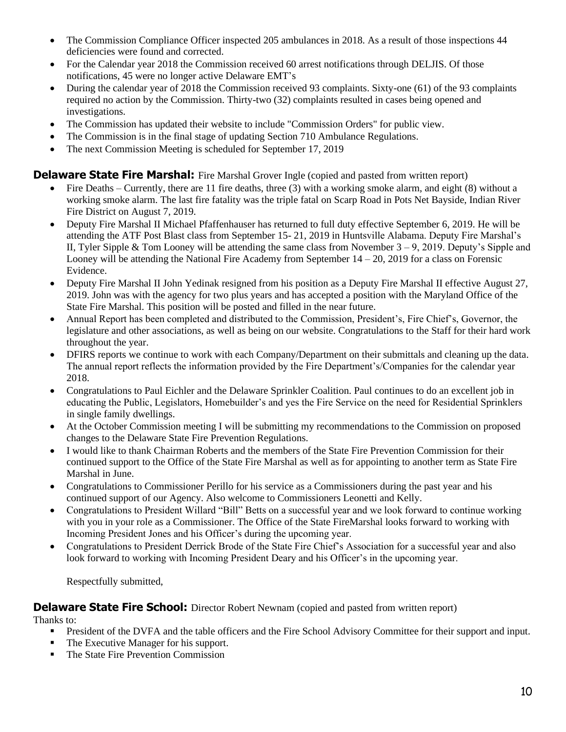- The Commission Compliance Officer inspected 205 ambulances in 2018. As a result of those inspections 44 deficiencies were found and corrected.
- For the Calendar year 2018 the Commission received 60 arrest notifications through DELJIS. Of those notifications, 45 were no longer active Delaware EMT's
- During the calendar year of 2018 the Commission received 93 complaints. Sixty-one (61) of the 93 complaints required no action by the Commission. Thirty-two (32) complaints resulted in cases being opened and investigations.
- The Commission has updated their website to include "Commission Orders" for public view.
- The Commission is in the final stage of updating Section 710 Ambulance Regulations.
- The next Commission Meeting is scheduled for September 17, 2019

## **Delaware State Fire Marshal:** Fire Marshal Grover Ingle (copied and pasted from written report)

- Fire Deaths Currently, there are 11 fire deaths, three (3) with a working smoke alarm, and eight (8) without a working smoke alarm. The last fire fatality was the triple fatal on Scarp Road in Pots Net Bayside, Indian River Fire District on August 7, 2019.
- Deputy Fire Marshal II Michael Pfaffenhauser has returned to full duty effective September 6, 2019. He will be attending the ATF Post Blast class from September 15- 21, 2019 in Huntsville Alabama. Deputy Fire Marshal's II, Tyler Sipple & Tom Looney will be attending the same class from November 3 – 9, 2019. Deputy's Sipple and Looney will be attending the National Fire Academy from September 14 – 20, 2019 for a class on Forensic Evidence.
- Deputy Fire Marshal II John Yedinak resigned from his position as a Deputy Fire Marshal II effective August 27, 2019. John was with the agency for two plus years and has accepted a position with the Maryland Office of the State Fire Marshal. This position will be posted and filled in the near future.
- Annual Report has been completed and distributed to the Commission, President's, Fire Chief's, Governor, the legislature and other associations, as well as being on our website. Congratulations to the Staff for their hard work throughout the year.
- DFIRS reports we continue to work with each Company/Department on their submittals and cleaning up the data. The annual report reflects the information provided by the Fire Department's/Companies for the calendar year 2018.
- Congratulations to Paul Eichler and the Delaware Sprinkler Coalition. Paul continues to do an excellent job in educating the Public, Legislators, Homebuilder's and yes the Fire Service on the need for Residential Sprinklers in single family dwellings.
- At the October Commission meeting I will be submitting my recommendations to the Commission on proposed changes to the Delaware State Fire Prevention Regulations.
- I would like to thank Chairman Roberts and the members of the State Fire Prevention Commission for their continued support to the Office of the State Fire Marshal as well as for appointing to another term as State Fire Marshal in June.
- Congratulations to Commissioner Perillo for his service as a Commissioners during the past year and his continued support of our Agency. Also welcome to Commissioners Leonetti and Kelly.
- Congratulations to President Willard "Bill" Betts on a successful year and we look forward to continue working with you in your role as a Commissioner. The Office of the State FireMarshal looks forward to working with Incoming President Jones and his Officer's during the upcoming year.
- Congratulations to President Derrick Brode of the State Fire Chief's Association for a successful year and also look forward to working with Incoming President Deary and his Officer's in the upcoming year.

Respectfully submitted,

## **Delaware State Fire School:** Director Robert Newnam (copied and pasted from written report)

Thanks to:

- **•** President of the DVFA and the table officers and the Fire School Advisory Committee for their support and input.
- The Executive Manager for his support.
- The State Fire Prevention Commission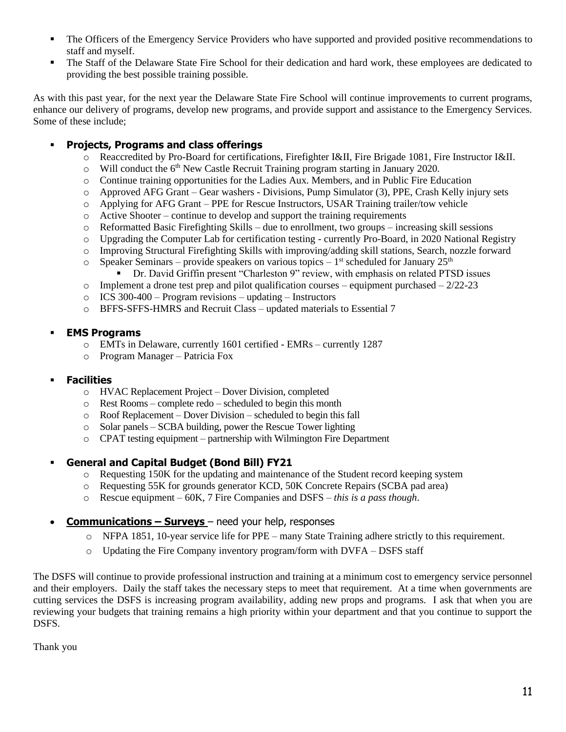- The Officers of the Emergency Service Providers who have supported and provided positive recommendations to staff and myself.
- The Staff of the Delaware State Fire School for their dedication and hard work, these employees are dedicated to providing the best possible training possible.

As with this past year, for the next year the Delaware State Fire School will continue improvements to current programs, enhance our delivery of programs, develop new programs, and provide support and assistance to the Emergency Services. Some of these include;

## ▪ **Projects, Programs and class offerings**

- o Reaccredited by Pro-Board for certifications, Firefighter I&II, Fire Brigade 1081, Fire Instructor I&II.
- $\circ$  Will conduct the 6<sup>th</sup> New Castle Recruit Training program starting in January 2020.
- o Continue training opportunities for the Ladies Aux. Members, and in Public Fire Education
- o Approved AFG Grant Gear washers Divisions, Pump Simulator (3), PPE, Crash Kelly injury sets
- o Applying for AFG Grant PPE for Rescue Instructors, USAR Training trailer/tow vehicle
- $\circ$  Active Shooter continue to develop and support the training requirements
- $\circ$  Reformatted Basic Firefighting Skills due to enrollment, two groups increasing skill sessions
- o Upgrading the Computer Lab for certification testing currently Pro-Board, in 2020 National Registry
- o Improving Structural Firefighting Skills with improving/adding skill stations, Search, nozzle forward
- $\circ$  Speaker Seminars provide speakers on various topics 1<sup>st</sup> scheduled for January 25<sup>th</sup>
	- Dr. David Griffin present "Charleston 9" review, with emphasis on related PTSD issues
- $\circ$  Implement a drone test prep and pilot qualification courses equipment purchased 2/22-23
- $\circ$  ICS 300-400 Program revisions updating Instructors
- o BFFS-SFFS-HMRS and Recruit Class updated materials to Essential 7

## ▪ **EMS Programs**

- o EMTs in Delaware, currently 1601 certified EMRs currently 1287
- o Program Manager Patricia Fox

## ▪ **Facilities**

- o HVAC Replacement Project Dover Division, completed
- o Rest Rooms complete redo scheduled to begin this month
- o Roof Replacement Dover Division scheduled to begin this fall
- o Solar panels SCBA building, power the Rescue Tower lighting
- o CPAT testing equipment partnership with Wilmington Fire Department

## ▪ **General and Capital Budget (Bond Bill) FY21**

- o Requesting 150K for the updating and maintenance of the Student record keeping system
- o Requesting 55K for grounds generator KCD, 50K Concrete Repairs (SCBA pad area)
- o Rescue equipment 60K, 7 Fire Companies and DSFS *this is a pass though*.
- **Communications – Surveys**  need your help, responses
	- o NFPA 1851, 10-year service life for PPE many State Training adhere strictly to this requirement.
	- o Updating the Fire Company inventory program/form with DVFA DSFS staff

The DSFS will continue to provide professional instruction and training at a minimum cost to emergency service personnel and their employers. Daily the staff takes the necessary steps to meet that requirement. At a time when governments are cutting services the DSFS is increasing program availability, adding new props and programs. I ask that when you are reviewing your budgets that training remains a high priority within your department and that you continue to support the DSFS.

Thank you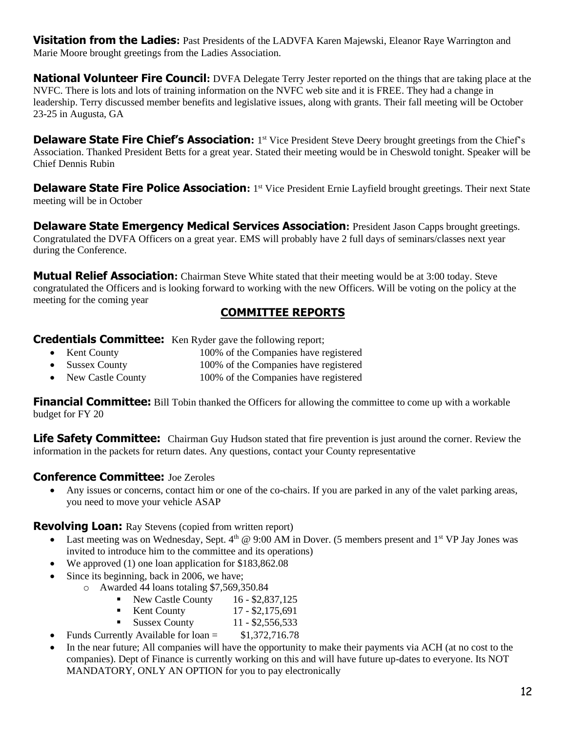**Visitation from the Ladies:** Past Presidents of the LADVFA Karen Majewski, Eleanor Raye Warrington and Marie Moore brought greetings from the Ladies Association.

**National Volunteer Fire Council:** DVFA Delegate Terry Jester reported on the things that are taking place at the NVFC. There is lots and lots of training information on the NVFC web site and it is FREE. They had a change in leadership. Terry discussed member benefits and legislative issues, along with grants. Their fall meeting will be October 23-25 in Augusta, GA

**Delaware State Fire Chief's Association:** 1<sup>st</sup> Vice President Steve Deery brought greetings from the Chief's Association. Thanked President Betts for a great year. Stated their meeting would be in Cheswold tonight. Speaker will be Chief Dennis Rubin

**Delaware State Fire Police Association:** 1<sup>st</sup> Vice President Ernie Layfield brought greetings. Their next State meeting will be in October

**Delaware State Emergency Medical Services Association: President Jason Capps brought greetings.** Congratulated the DVFA Officers on a great year. EMS will probably have 2 full days of seminars/classes next year during the Conference.

**Mutual Relief Association:** Chairman Steve White stated that their meeting would be at 3:00 today. Steve congratulated the Officers and is looking forward to working with the new Officers. Will be voting on the policy at the meeting for the coming year

# **COMMITTEE REPORTS**

**Credentials Committee:** Ken Ryder gave the following report;

- Kent County 100% of the Companies have registered
- Sussex County 100% of the Companies have registered
- New Castle County 100% of the Companies have registered

**Financial Committee:** Bill Tobin thanked the Officers for allowing the committee to come up with a workable budget for FY 20

**Life Safety Committee:** Chairman Guy Hudson stated that fire prevention is just around the corner. Review the information in the packets for return dates. Any questions, contact your County representative

## **Conference Committee:** Joe Zeroles

• Any issues or concerns, contact him or one of the co-chairs. If you are parked in any of the valet parking areas, you need to move your vehicle ASAP

**Revolving Loan:** Ray Stevens (copied from written report)

- Last meeting was on Wednesday, Sept.  $4<sup>th</sup>$  @ 9:00 AM in Dover. (5 members present and  $1<sup>st</sup>$  VP Jay Jones was invited to introduce him to the committee and its operations)
- We approved (1) one loan application for \$183,862.08
- Since its beginning, back in 2006, we have;
	- o Awarded 44 loans totaling \$7,569,350.84
		- $\blacksquare$  New Castle County 16 \$2,837,125
		- Kent County 17 \$2,175,691
		- **•** Sussex County  $11 $2,556,533$
- Funds Currently Available for  $\alpha$  = \$1,372,716.78
- In the near future; All companies will have the opportunity to make their payments via ACH (at no cost to the companies). Dept of Finance is currently working on this and will have future up-dates to everyone. Its NOT MANDATORY, ONLY AN OPTION for you to pay electronically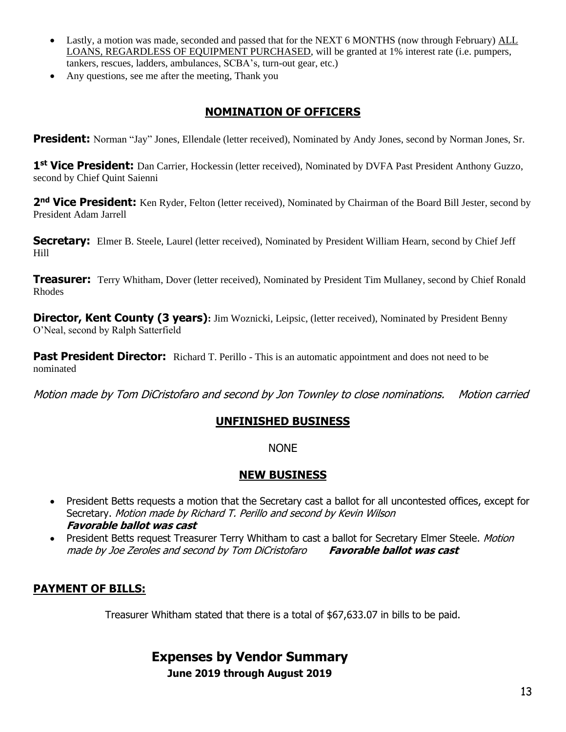- Lastly, a motion was made, seconded and passed that for the NEXT 6 MONTHS (now through February) ALL LOANS, REGARDLESS OF EQUIPMENT PURCHASED, will be granted at 1% interest rate (i.e. pumpers, tankers, rescues, ladders, ambulances, SCBA's, turn-out gear, etc.)
- Any questions, see me after the meeting, Thank you

# **NOMINATION OF OFFICERS**

**President:** Norman "Jay" Jones, Ellendale (letter received), Nominated by Andy Jones, second by Norman Jones, Sr.

1<sup>st</sup> Vice President: Dan Carrier, Hockessin (letter received), Nominated by DVFA Past President Anthony Guzzo, second by Chief Quint Saienni

2<sup>nd</sup> Vice President: Ken Ryder, Felton (letter received), Nominated by Chairman of the Board Bill Jester, second by President Adam Jarrell

**Secretary:** Elmer B. Steele, Laurel (letter received), Nominated by President William Hearn, second by Chief Jeff Hill

**Treasurer:** Terry Whitham, Dover (letter received), Nominated by President Tim Mullaney, second by Chief Ronald Rhodes

**Director, Kent County (3 years):** Jim Woznicki, Leipsic, (letter received), Nominated by President Benny O'Neal, second by Ralph Satterfield

**Past President Director:** Richard T. Perillo - This is an automatic appointment and does not need to be nominated

Motion made by Tom DiCristofaro and second by Jon Townley to close nominations. Motion carried

# **UNFINISHED BUSINESS**

NONE

## **NEW BUSINESS**

- President Betts requests a motion that the Secretary cast a ballot for all uncontested offices, except for Secretary. Motion made by Richard T. Perillo and second by Kevin Wilson **Favorable ballot was cast**
- President Betts request Treasurer Terry Whitham to cast a ballot for Secretary Elmer Steele. *Motion* made by Joe Zeroles and second by Tom DiCristofaro **Favorable ballot was cast**

# **PAYMENT OF BILLS:**

Treasurer Whitham stated that there is a total of \$67,633.07 in bills to be paid.

# **Expenses by Vendor Summary June 2019 through August 2019**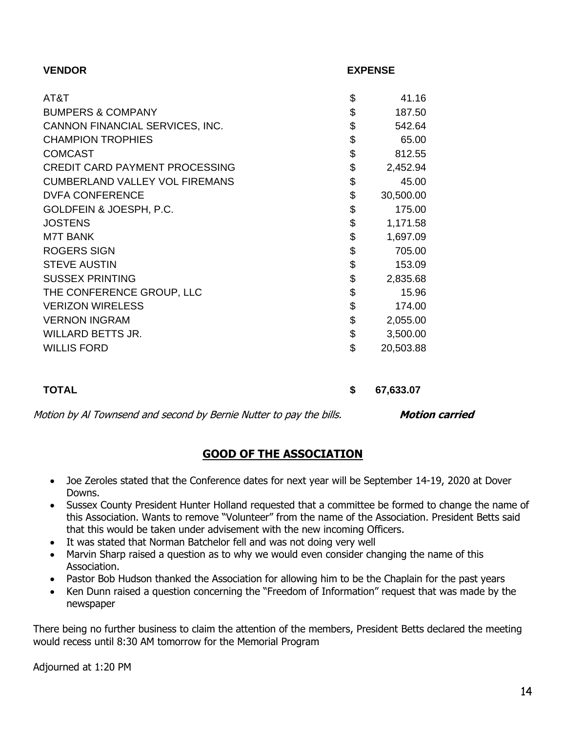| <b>VENDOR</b>                         | <b>EXPENSE</b>  |
|---------------------------------------|-----------------|
| AT&T                                  | 41.16           |
|                                       | \$              |
| <b>BUMPERS &amp; COMPANY</b>          | \$<br>187.50    |
| CANNON FINANCIAL SERVICES, INC.       | \$<br>542.64    |
| <b>CHAMPION TROPHIES</b>              | \$<br>65.00     |
| <b>COMCAST</b>                        | \$<br>812.55    |
| <b>CREDIT CARD PAYMENT PROCESSING</b> | \$<br>2,452.94  |
| <b>CUMBERLAND VALLEY VOL FIREMANS</b> | \$<br>45.00     |
| <b>DVFA CONFERENCE</b>                | \$<br>30,500.00 |
| GOLDFEIN & JOESPH, P.C.               | \$<br>175.00    |
| <b>JOSTENS</b>                        | \$<br>1,171.58  |
| <b>M7T BANK</b>                       | \$<br>1,697.09  |
| <b>ROGERS SIGN</b>                    | \$<br>705.00    |
| <b>STEVE AUSTIN</b>                   | \$<br>153.09    |
| <b>SUSSEX PRINTING</b>                | \$<br>2,835.68  |
| THE CONFERENCE GROUP, LLC             | \$<br>15.96     |
| <b>VERIZON WIRELESS</b>               | \$<br>174.00    |
| <b>VERNON INGRAM</b>                  | \$<br>2,055.00  |
| <b>WILLARD BETTS JR.</b>              | \$<br>3,500.00  |
| <b>WILLIS FORD</b>                    | \$<br>20,503.88 |
|                                       |                 |
| <b>TOTAL</b>                          | \$<br>67,633.07 |

Motion by Al Townsend and second by Bernie Nutter to pay the bills. **Motion carried** 

# **GOOD OF THE ASSOCIATION**

- Joe Zeroles stated that the Conference dates for next year will be September 14-19, 2020 at Dover Downs.
- Sussex County President Hunter Holland requested that a committee be formed to change the name of this Association. Wants to remove "Volunteer" from the name of the Association. President Betts said that this would be taken under advisement with the new incoming Officers.
- It was stated that Norman Batchelor fell and was not doing very well
- Marvin Sharp raised a question as to why we would even consider changing the name of this Association.
- Pastor Bob Hudson thanked the Association for allowing him to be the Chaplain for the past years
- Ken Dunn raised a question concerning the "Freedom of Information" request that was made by the newspaper

There being no further business to claim the attention of the members, President Betts declared the meeting would recess until 8:30 AM tomorrow for the Memorial Program

Adjourned at 1:20 PM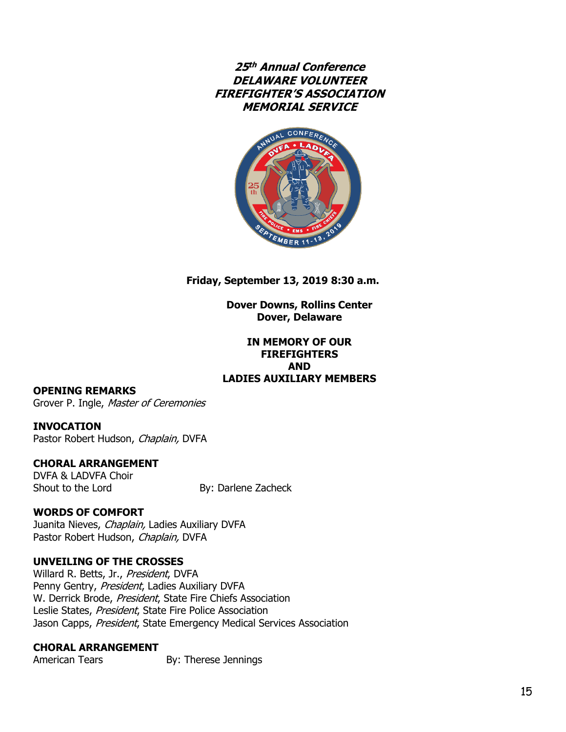**25 th Annual Conference DELAWARE VOLUNTEER FIREFIGHTER'S ASSOCIATION MEMORIAL SERVICE**



**Friday, September 13, 2019 8:30 a.m.**

**Dover Downs, Rollins Center Dover, Delaware**

### **IN MEMORY OF OUR FIREFIGHTERS AND LADIES AUXILIARY MEMBERS**

### **OPENING REMARKS**

Grover P. Ingle, Master of Ceremonies

### **INVOCATION**

Pastor Robert Hudson, Chaplain, DVFA

### **CHORAL ARRANGEMENT**

DVFA & LADVFA Choir Shout to the Lord By: Darlene Zacheck

### **WORDS OF COMFORT**

Juanita Nieves, Chaplain, Ladies Auxiliary DVFA Pastor Robert Hudson, Chaplain, DVFA

### **UNVEILING OF THE CROSSES**

Willard R. Betts, Jr., President, DVFA Penny Gentry, President, Ladies Auxiliary DVFA W. Derrick Brode, President, State Fire Chiefs Association Leslie States, President, State Fire Police Association Jason Capps, President, State Emergency Medical Services Association

## **CHORAL ARRANGEMENT**

American Tears By: Therese Jennings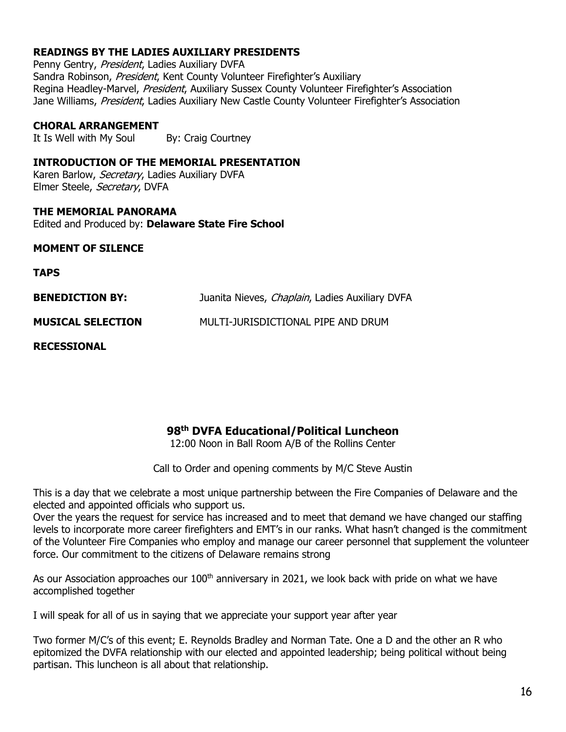## **READINGS BY THE LADIES AUXILIARY PRESIDENTS**

Penny Gentry, President, Ladies Auxiliary DVFA Sandra Robinson, President, Kent County Volunteer Firefighter's Auxiliary Regina Headley-Marvel, President, Auxiliary Sussex County Volunteer Firefighter's Association Jane Williams, President, Ladies Auxiliary New Castle County Volunteer Firefighter's Association

### **CHORAL ARRANGEMENT**

It Is Well with My Soul By: Craig Courtney

### **INTRODUCTION OF THE MEMORIAL PRESENTATION**

Karen Barlow, Secretary, Ladies Auxiliary DVFA Elmer Steele, Secretary, DVFA

**THE MEMORIAL PANORAMA** Edited and Produced by: **Delaware State Fire School**

### **MOMENT OF SILENCE**

**TAPS**

| <b>BENEDICTION BY:</b>   | Juanita Nieves, Chaplain, Ladies Auxiliary DVFA |
|--------------------------|-------------------------------------------------|
| <b>MUSICAL SELECTION</b> | MULTI-JURISDICTIONAL PIPE AND DRUM              |

**RECESSIONAL**

# **98 th DVFA Educational/Political Luncheon**

12:00 Noon in Ball Room A/B of the Rollins Center

Call to Order and opening comments by M/C Steve Austin

This is a day that we celebrate a most unique partnership between the Fire Companies of Delaware and the elected and appointed officials who support us.

Over the years the request for service has increased and to meet that demand we have changed our staffing levels to incorporate more career firefighters and EMT's in our ranks. What hasn't changed is the commitment of the Volunteer Fire Companies who employ and manage our career personnel that supplement the volunteer force. Our commitment to the citizens of Delaware remains strong

As our Association approaches our  $100<sup>th</sup>$  anniversary in 2021, we look back with pride on what we have accomplished together

I will speak for all of us in saying that we appreciate your support year after year

Two former M/C's of this event; E. Reynolds Bradley and Norman Tate. One a D and the other an R who epitomized the DVFA relationship with our elected and appointed leadership; being political without being partisan. This luncheon is all about that relationship.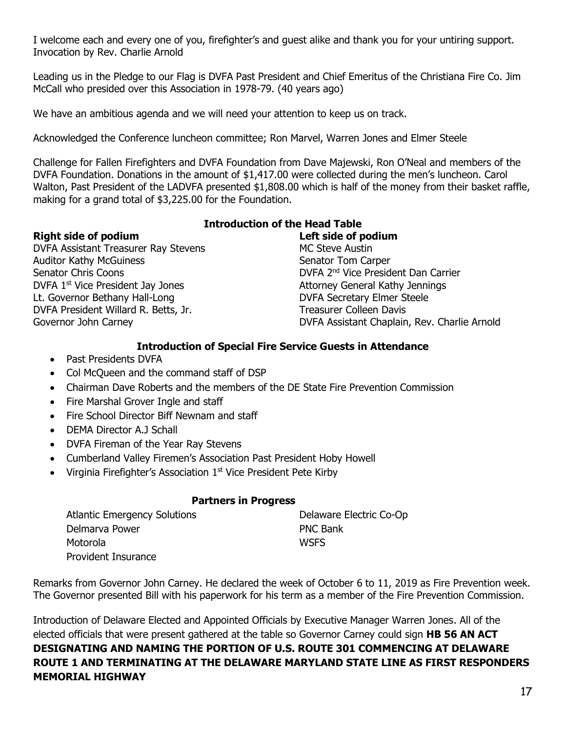I welcome each and every one of you, firefighter's and guest alike and thank you for your untiring support. Invocation by Rev. Charlie Arnold

Leading us in the Pledge to our Flag is DVFA Past President and Chief Emeritus of the Christiana Fire Co. Jim McCall who presided over this Association in 1978-79. (40 years ago)

We have an ambitious agenda and we will need your attention to keep us on track.

Acknowledged the Conference luncheon committee; Ron Marvel, Warren Jones and Elmer Steele

Challenge for Fallen Firefighters and DVFA Foundation from Dave Majewski, Ron O'Neal and members of the DVFA Foundation. Donations in the amount of \$1,417.00 were collected during the men's luncheon. Carol Walton, Past President of the LADVFA presented \$1,808.00 which is half of the money from their basket raffle, making for a grand total of \$3,225.00 for the Foundation.

## **Right side of podium Left side of podium**

## **Introduction of the Head Table**

DVFA Assistant Treasurer Ray Stevens MC Steve Austin Auditor Kathy McGuiness Senator Tom Carper Senator Chris Coons DVFA 1<sup>st</sup> Vice President Jay Jones Attorney General Kathy Jennings Lt. Governor Bethany Hall-Long **DVFA Secretary Elmer Steele** DVFA President Willard R. Betts, Jr. Treasurer Colleen Davis

DVFA 2<sup>nd</sup> Vice President Dan Carrier Governor John Carney **DVFA Assistant Chaplain, Rev. Charlie Arnold** 

## **Introduction of Special Fire Service Guests in Attendance**

- Past Presidents DVFA
- Col McQueen and the command staff of DSP
- Chairman Dave Roberts and the members of the DE State Fire Prevention Commission
- Fire Marshal Grover Ingle and staff
- Fire School Director Biff Newnam and staff
- DEMA Director A.J Schall
- DVFA Fireman of the Year Ray Stevens
- Cumberland Valley Firemen's Association Past President Hoby Howell
- Virginia Firefighter's Association  $1<sup>st</sup>$  Vice President Pete Kirby

## **Partners in Progress**

| <b>Atlantic Emergency Solutions</b> | Delaware Electric Co-Op |
|-------------------------------------|-------------------------|
| Delmarva Power                      | <b>PNC Bank</b>         |
| Motorola                            | <b>WSFS</b>             |
| <b>Provident Insurance</b>          |                         |

Remarks from Governor John Carney. He declared the week of October 6 to 11, 2019 as Fire Prevention week. The Governor presented Bill with his paperwork for his term as a member of the Fire Prevention Commission.

Introduction of Delaware Elected and Appointed Officials by Executive Manager Warren Jones. All of the elected officials that were present gathered at the table so Governor Carney could sign **HB 56 AN ACT DESIGNATING AND NAMING THE PORTION OF U.S. ROUTE 301 COMMENCING AT DELAWARE ROUTE 1 AND TERMINATING AT THE DELAWARE MARYLAND STATE LINE AS FIRST RESPONDERS MEMORIAL HIGHWAY**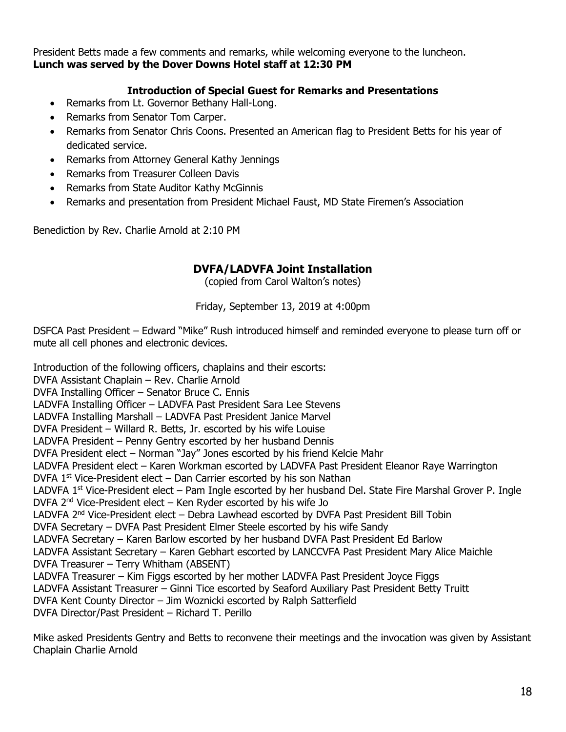President Betts made a few comments and remarks, while welcoming everyone to the luncheon. **Lunch was served by the Dover Downs Hotel staff at 12:30 PM** 

## **Introduction of Special Guest for Remarks and Presentations**

- Remarks from Lt. Governor Bethany Hall-Long.
- Remarks from Senator Tom Carper.
- Remarks from Senator Chris Coons. Presented an American flag to President Betts for his year of dedicated service.
- Remarks from Attorney General Kathy Jennings
- Remarks from Treasurer Colleen Davis
- Remarks from State Auditor Kathy McGinnis
- Remarks and presentation from President Michael Faust, MD State Firemen's Association

Benediction by Rev. Charlie Arnold at 2:10 PM

# **DVFA/LADVFA Joint Installation**

(copied from Carol Walton's notes)

### Friday, September 13, 2019 at 4:00pm

DSFCA Past President – Edward "Mike" Rush introduced himself and reminded everyone to please turn off or mute all cell phones and electronic devices.

Introduction of the following officers, chaplains and their escorts: DVFA Assistant Chaplain – Rev. Charlie Arnold DVFA Installing Officer – Senator Bruce C. Ennis LADVFA Installing Officer – LADVFA Past President Sara Lee Stevens LADVFA Installing Marshall – LADVFA Past President Janice Marvel DVFA President – Willard R. Betts, Jr. escorted by his wife Louise LADVFA President – Penny Gentry escorted by her husband Dennis DVFA President elect – Norman "Jay" Jones escorted by his friend Kelcie Mahr LADVFA President elect – Karen Workman escorted by LADVFA Past President Eleanor Raye Warrington DVFA  $1<sup>st</sup>$  Vice-President elect  $-$  Dan Carrier escorted by his son Nathan LADVFA 1<sup>st</sup> Vice-President elect – Pam Ingle escorted by her husband Del. State Fire Marshal Grover P. Ingle DVFA 2<sup>nd</sup> Vice-President elect – Ken Ryder escorted by his wife Jo LADVFA 2<sup>nd</sup> Vice-President elect - Debra Lawhead escorted by DVFA Past President Bill Tobin DVFA Secretary – DVFA Past President Elmer Steele escorted by his wife Sandy LADVFA Secretary – Karen Barlow escorted by her husband DVFA Past President Ed Barlow LADVFA Assistant Secretary – Karen Gebhart escorted by LANCCVFA Past President Mary Alice Maichle DVFA Treasurer – Terry Whitham (ABSENT) LADVFA Treasurer – Kim Figgs escorted by her mother LADVFA Past President Joyce Figgs LADVFA Assistant Treasurer – Ginni Tice escorted by Seaford Auxiliary Past President Betty Truitt DVFA Kent County Director – Jim Woznicki escorted by Ralph Satterfield DVFA Director/Past President – Richard T. Perillo

Mike asked Presidents Gentry and Betts to reconvene their meetings and the invocation was given by Assistant Chaplain Charlie Arnold